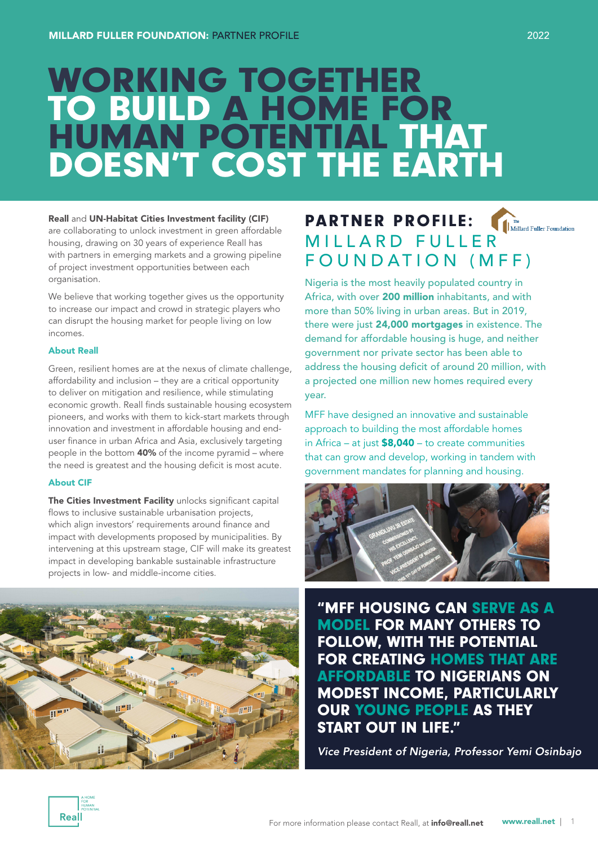# WORKING TOGETHER TO BUILD A HOME FOR HUMAN POTENTIAL THAT DOESN'T COST THE EARTH

### Reall and UN-Habitat Cities Investment facility (CIF)

are collaborating to unlock investment in green affordable housing, drawing on 30 years of experience Reall has with partners in emerging markets and a growing pipeline of project investment opportunities between each organisation.

We believe that working together gives us the opportunity to increase our impact and crowd in strategic players who can disrupt the housing market for people living on low incomes.

### About Reall

Green, resilient homes are at the nexus of climate challenge, affordability and inclusion – they are a critical opportunity to deliver on mitigation and resilience, while stimulating economic growth. Reall finds sustainable housing ecosystem pioneers, and works with them to kick-start markets through innovation and investment in affordable housing and enduser finance in urban Africa and Asia, exclusively targeting people in the bottom 40% of the income pyramid – where the need is greatest and the housing deficit is most acute.

### About CIF

The Cities Investment Facility unlocks significant capital flows to inclusive sustainable urbanisation projects, which align investors' requirements around finance and impact with developments proposed by municipalities. By intervening at this upstream stage, CIF will make its greatest impact in developing bankable sustainable infrastructure projects in low- and middle-income cities.

## PARTNER PROFILE: **PARTNER PROFILE:**  $\P_{\text{Initial Fuller Foundation}}$ <br>MILLARD FULLER FOUNDATION (MFF)

Nigeria is the most heavily populated country in Africa, with over 200 million inhabitants, and with more than 50% living in urban areas. But in 2019, there were just 24,000 mortgages in existence. The demand for affordable housing is huge, and neither government nor private sector has been able to address the housing deficit of around 20 million, with a projected one million new homes required every year.

MFF have designed an innovative and sustainable approach to building the most affordable homes in Africa – at just  $$8,040 -$  to create communities that can grow and develop, working in tandem with government mandates for planning and housing.



"MFF HOUSING CAN SERVE AS A MODEL FOR MANY OTHERS TO FOLLOW, WITH THE POTENTIAL FOR CREATING HOMES THAT ARE AFFORDABLE TO NIGERIANS ON MODEST INCOME, PARTICULARLY OUR YOUNG PEOPLE AS THEY START OUT IN LIFE."

*Vice President of Nigeria, Professor Yemi Osinbajo*